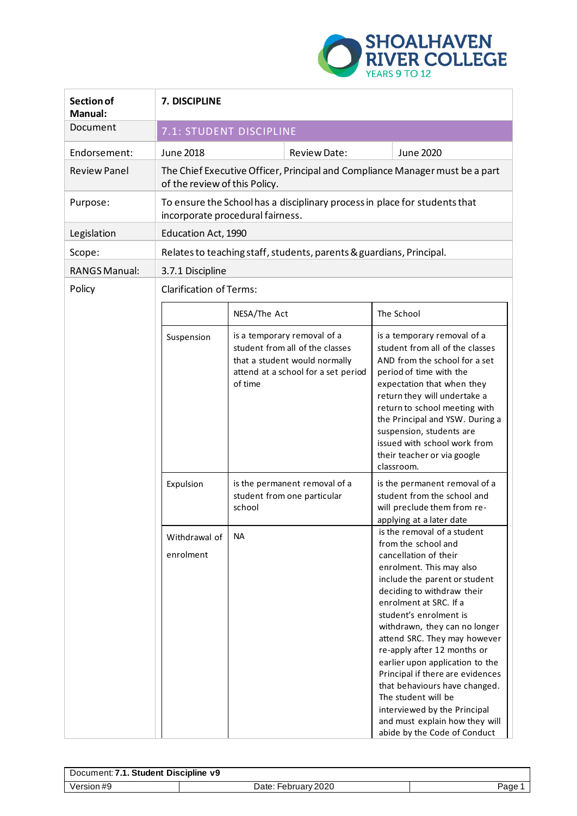

| Section of<br><b>Manual:</b> | 7. DISCIPLINE                                                                                                  |              |                                                                                                                                        |  |                                                                                                                                                                                                                                                                                                                                                                                                                                                                                                                                                             |
|------------------------------|----------------------------------------------------------------------------------------------------------------|--------------|----------------------------------------------------------------------------------------------------------------------------------------|--|-------------------------------------------------------------------------------------------------------------------------------------------------------------------------------------------------------------------------------------------------------------------------------------------------------------------------------------------------------------------------------------------------------------------------------------------------------------------------------------------------------------------------------------------------------------|
| Document                     | 7.1: STUDENT DISCIPLINE                                                                                        |              |                                                                                                                                        |  |                                                                                                                                                                                                                                                                                                                                                                                                                                                                                                                                                             |
| Endorsement:                 | <b>June 2018</b>                                                                                               |              | Review Date:                                                                                                                           |  | <b>June 2020</b>                                                                                                                                                                                                                                                                                                                                                                                                                                                                                                                                            |
| <b>Review Panel</b>          | of the review of this Policy.                                                                                  |              |                                                                                                                                        |  | The Chief Executive Officer, Principal and Compliance Manager must be a part                                                                                                                                                                                                                                                                                                                                                                                                                                                                                |
| Purpose:                     | To ensure the School has a disciplinary process in place for students that<br>incorporate procedural fairness. |              |                                                                                                                                        |  |                                                                                                                                                                                                                                                                                                                                                                                                                                                                                                                                                             |
| Legislation                  | Education Act, 1990                                                                                            |              |                                                                                                                                        |  |                                                                                                                                                                                                                                                                                                                                                                                                                                                                                                                                                             |
| Scope:                       | Relates to teaching staff, students, parents & guardians, Principal.                                           |              |                                                                                                                                        |  |                                                                                                                                                                                                                                                                                                                                                                                                                                                                                                                                                             |
| <b>RANGS Manual:</b>         | 3.7.1 Discipline                                                                                               |              |                                                                                                                                        |  |                                                                                                                                                                                                                                                                                                                                                                                                                                                                                                                                                             |
| Policy                       | <b>Clarification of Terms:</b>                                                                                 |              |                                                                                                                                        |  |                                                                                                                                                                                                                                                                                                                                                                                                                                                                                                                                                             |
|                              |                                                                                                                | NESA/The Act |                                                                                                                                        |  | The School                                                                                                                                                                                                                                                                                                                                                                                                                                                                                                                                                  |
|                              | Suspension                                                                                                     | of time      | is a temporary removal of a<br>student from all of the classes<br>that a student would normally<br>attend at a school for a set period |  | is a temporary removal of a<br>student from all of the classes<br>AND from the school for a set<br>period of time with the<br>expectation that when they<br>return they will undertake a<br>return to school meeting with<br>the Principal and YSW. During a<br>suspension, students are<br>issued with school work from<br>their teacher or via google<br>classroom.                                                                                                                                                                                       |
|                              | Expulsion                                                                                                      | school       | is the permanent removal of a<br>student from one particular                                                                           |  | is the permanent removal of a<br>student from the school and<br>will preclude them from re-<br>applying at a later date                                                                                                                                                                                                                                                                                                                                                                                                                                     |
|                              | Withdrawal of<br>enrolment                                                                                     | <b>NA</b>    |                                                                                                                                        |  | is the removal of a student<br>from the school and<br>cancellation of their<br>enrolment. This may also<br>include the parent or student<br>deciding to withdraw their<br>enrolment at SRC. If a<br>student's enrolment is<br>withdrawn, they can no longer<br>attend SRC. They may however<br>re-apply after 12 months or<br>earlier upon application to the<br>Principal if there are evidences<br>that behaviours have changed.<br>The student will be<br>interviewed by the Principal<br>and must explain how they will<br>abide by the Code of Conduct |

| Document: 7.1. Student Discipline v9 |                     |      |
|--------------------------------------|---------------------|------|
| Version #9                           | Date: February 2020 | Page |
|                                      |                     |      |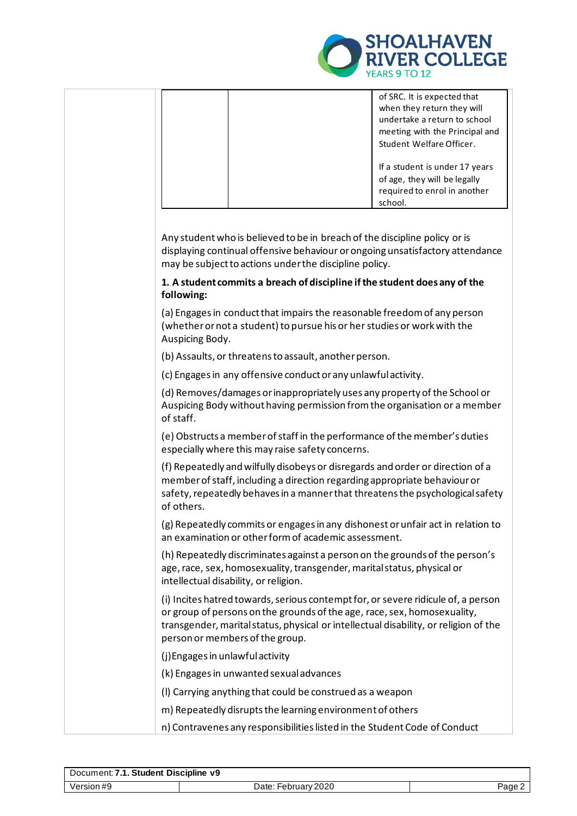

|                                                                                                                  | of SRC. It is expected that<br>when they return they will<br>undertake a return to school<br>meeting with the Principal and<br>Student Welfare Officer.<br>If a student is under 17 years<br>of age, they will be legally<br>required to enrol in another<br>school. |  |
|------------------------------------------------------------------------------------------------------------------|----------------------------------------------------------------------------------------------------------------------------------------------------------------------------------------------------------------------------------------------------------------------|--|
| may be subject to actions under the discipline policy.                                                           | Any student who is believed to be in breach of the discipline policy or is<br>displaying continual offensive behaviour or ongoing unsatisfactory attendance                                                                                                          |  |
| following:                                                                                                       | 1. A student commits a breach of discipline if the student does any of the                                                                                                                                                                                           |  |
| Auspicing Body.                                                                                                  | (a) Engages in conduct that impairs the reasonable freedom of any person<br>(whether or not a student) to pursue his or her studies or work with the                                                                                                                 |  |
| (b) Assaults, or threatens to assault, another person.                                                           |                                                                                                                                                                                                                                                                      |  |
| (c) Engages in any offensive conduct or any unlawful activity.                                                   |                                                                                                                                                                                                                                                                      |  |
| of staff.                                                                                                        | (d) Removes/damages or inappropriately uses any property of the School or<br>Auspicing Body without having permission from the organisation or a member                                                                                                              |  |
| especially where this may raise safety concerns.                                                                 | (e) Obstructs a member of staff in the performance of the member's duties                                                                                                                                                                                            |  |
| of others.                                                                                                       | (f) Repeatedly and wilfully disobeys or disregards and order or direction of a<br>member of staff, including a direction regarding appropriate behaviour or<br>safety, repeatedly behaves in a manner that threatens the psychological safety                        |  |
| an examination or other form of academic assessment.                                                             | (g) Repeatedly commits or engages in any dishonest or unfair act in relation to                                                                                                                                                                                      |  |
| age, race, sex, homosexuality, transgender, marital status, physical or<br>intellectual disability, or religion. | (h) Repeatedly discriminates against a person on the grounds of the person's                                                                                                                                                                                         |  |
| person or members of the group.                                                                                  | (i) Incites hatred towards, serious contempt for, or severe ridicule of, a person<br>or group of persons on the grounds of the age, race, sex, homosexuality,<br>transgender, marital status, physical or intellectual disability, or religion of the                |  |
| (j) Engages in unlawful activity                                                                                 |                                                                                                                                                                                                                                                                      |  |
| (k) Engages in unwanted sexual advances                                                                          |                                                                                                                                                                                                                                                                      |  |
| (I) Carrying anything that could be construed as a weapon                                                        |                                                                                                                                                                                                                                                                      |  |
| m) Repeatedly disrupts the learning environment of others                                                        |                                                                                                                                                                                                                                                                      |  |
|                                                                                                                  | n) Contravenes any responsibilities listed in the Student Code of Conduct                                                                                                                                                                                            |  |

| Document: 7.1. Student Discipline v9 |                     |       |
|--------------------------------------|---------------------|-------|
| Version #9                           | Date: February 2020 | Page∠ |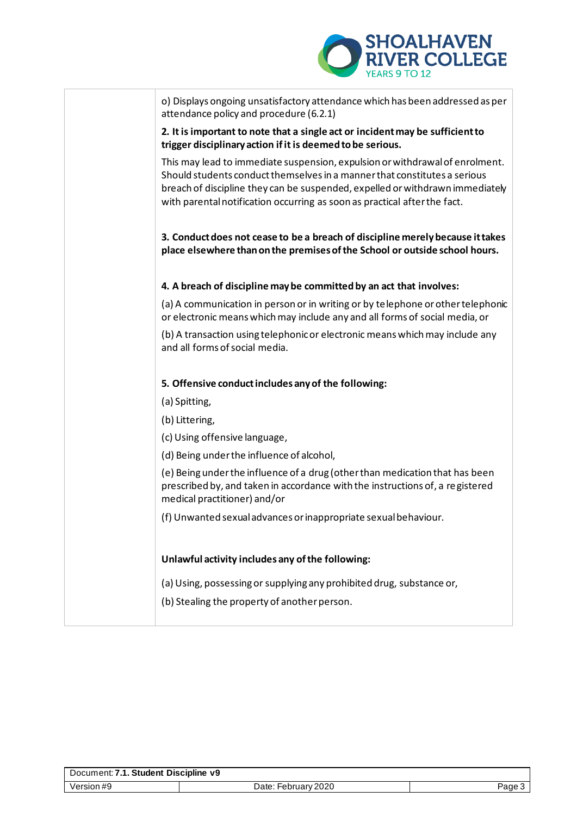

| o) Displays ongoing unsatisfactory attendance which has been addressed as per<br>attendance policy and procedure (6.2.1)                                                                                                                                                                                                |
|-------------------------------------------------------------------------------------------------------------------------------------------------------------------------------------------------------------------------------------------------------------------------------------------------------------------------|
| 2. It is important to note that a single act or incident may be sufficient to<br>trigger disciplinary action if it is deemed to be serious.                                                                                                                                                                             |
| This may lead to immediate suspension, expulsion or withdrawal of enrolment.<br>Should students conduct themselves in a manner that constitutes a serious<br>breach of discipline they can be suspended, expelled or withdrawn immediately<br>with parental notification occurring as soon as practical after the fact. |
| 3. Conduct does not cease to be a breach of discipline merely because it takes<br>place elsewhere than on the premises of the School or outside school hours.                                                                                                                                                           |
| 4. A breach of discipline may be committed by an act that involves:                                                                                                                                                                                                                                                     |
| (a) A communication in person or in writing or by telephone or other telephonic<br>or electronic means which may include any and all forms of social media, or                                                                                                                                                          |
| (b) A transaction using telephonic or electronic means which may include any<br>and all forms of social media.                                                                                                                                                                                                          |
| 5. Offensive conduct includes any of the following:                                                                                                                                                                                                                                                                     |
| (a) Spitting,                                                                                                                                                                                                                                                                                                           |
| (b) Littering,                                                                                                                                                                                                                                                                                                          |
| (c) Using offensive language,                                                                                                                                                                                                                                                                                           |
| (d) Being under the influence of alcohol,                                                                                                                                                                                                                                                                               |
| (e) Being under the influence of a drug (other than medication that has been<br>prescribed by, and taken in accordance with the instructions of, a registered<br>medical practitioner) and/or                                                                                                                           |
| (f) Unwanted sexual advances or inappropriate sexual behaviour.                                                                                                                                                                                                                                                         |
|                                                                                                                                                                                                                                                                                                                         |
| Unlawful activity includes any of the following:                                                                                                                                                                                                                                                                        |
| (a) Using, possessing or supplying any prohibited drug, substance or,                                                                                                                                                                                                                                                   |
| (b) Stealing the property of another person.                                                                                                                                                                                                                                                                            |
|                                                                                                                                                                                                                                                                                                                         |

| Document: 7.1. Student Discipline v9 |                     |        |
|--------------------------------------|---------------------|--------|
| Version #9                           | Date: February 2020 | Page 3 |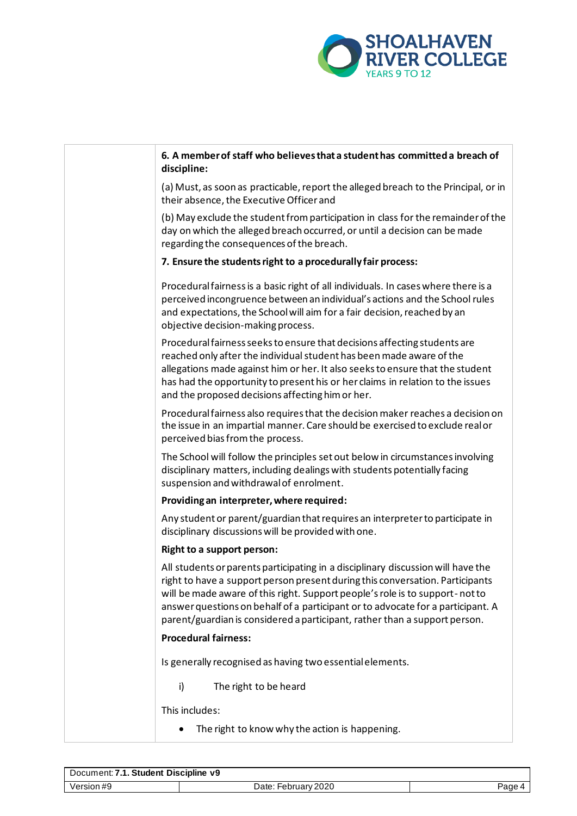

| 6. A member of staff who believes that a student has committed a breach of<br>discipline:                                                                                                                                                                                                                                                                                                                          |
|--------------------------------------------------------------------------------------------------------------------------------------------------------------------------------------------------------------------------------------------------------------------------------------------------------------------------------------------------------------------------------------------------------------------|
| (a) Must, as soon as practicable, report the alleged breach to the Principal, or in<br>their absence, the Executive Officer and                                                                                                                                                                                                                                                                                    |
| (b) May exclude the student from participation in class for the remainder of the<br>day on which the alleged breach occurred, or until a decision can be made<br>regarding the consequences of the breach.                                                                                                                                                                                                         |
| 7. Ensure the students right to a procedurally fair process:                                                                                                                                                                                                                                                                                                                                                       |
| Procedural fairness is a basic right of all individuals. In cases where there is a<br>perceived incongruence between an individual's actions and the School rules<br>and expectations, the School will aim for a fair decision, reached by an<br>objective decision-making process.                                                                                                                                |
| Procedural fairness seeks to ensure that decisions affecting students are<br>reached only after the individual student has been made aware of the<br>allegations made against him or her. It also seeks to ensure that the student<br>has had the opportunity to present his or her claims in relation to the issues<br>and the proposed decisions affecting him or her.                                           |
| Procedural fairness also requires that the decision maker reaches a decision on<br>the issue in an impartial manner. Care should be exercised to exclude real or<br>perceived bias from the process.                                                                                                                                                                                                               |
| The School will follow the principles set out below in circumstances involving<br>disciplinary matters, including dealings with students potentially facing<br>suspension and withdrawal of enrolment.                                                                                                                                                                                                             |
| Providing an interpreter, where required:                                                                                                                                                                                                                                                                                                                                                                          |
| Any student or parent/guardian that requires an interpreter to participate in<br>disciplinary discussions will be provided with one.                                                                                                                                                                                                                                                                               |
| <b>Right to a support person:</b>                                                                                                                                                                                                                                                                                                                                                                                  |
| All students or parents participating in a disciplinary discussion will have the<br>right to have a support person present during this conversation. Participants<br>will be made aware of this right. Support people's role is to support-not to<br>answer questions on behalf of a participant or to advocate for a participant. A<br>parent/guardian is considered a participant, rather than a support person. |
| <b>Procedural fairness:</b>                                                                                                                                                                                                                                                                                                                                                                                        |
| Is generally recognised as having two essential elements.                                                                                                                                                                                                                                                                                                                                                          |
| The right to be heard<br>i)                                                                                                                                                                                                                                                                                                                                                                                        |
| This includes:                                                                                                                                                                                                                                                                                                                                                                                                     |
| The right to know why the action is happening.                                                                                                                                                                                                                                                                                                                                                                     |

| Document: 7.1. Student Discipline v9 |                     |        |
|--------------------------------------|---------------------|--------|
| Version #9                           | Date: February 2020 | Page 4 |
|                                      |                     |        |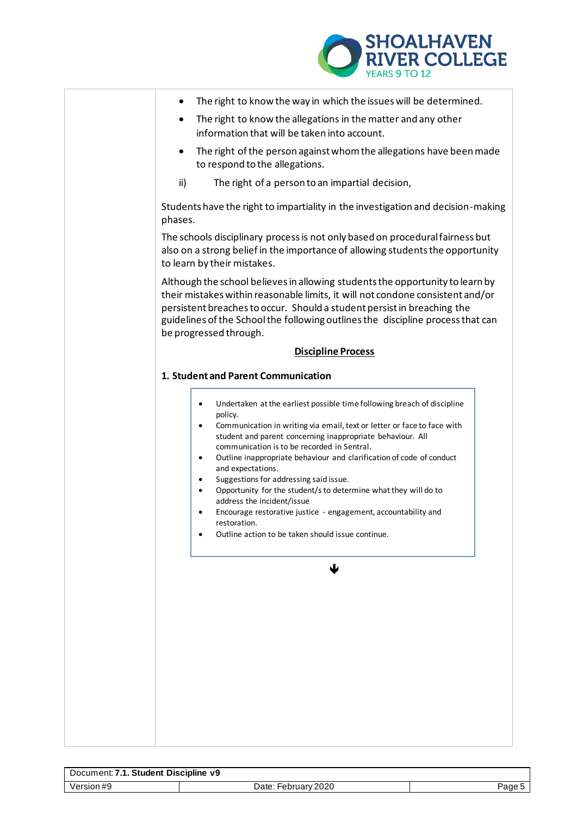

| The right to know the way in which the issues will be determined.<br>The right to know the allegations in the matter and any other<br>information that will be taken into account.<br>The right of the person against whom the allegations have been made<br>to respond to the allegations.<br>ii)<br>The right of a person to an impartial decision,<br>Students have the right to impartiality in the investigation and decision-making<br>phases.<br>The schools disciplinary process is not only based on procedural fairness but<br>also on a strong belief in the importance of allowing students the opportunity<br>to learn by their mistakes.<br>Although the school believes in allowing students the opportunity to learn by<br>their mistakes within reasonable limits, it will not condone consistent and/or<br>persistent breaches to occur. Should a student persist in breaching the<br>guidelines of the School the following outlines the discipline process that can<br>be progressed through.<br><b>Discipline Process</b><br>1. Student and Parent Communication<br>Undertaken at the earliest possible time following breach of discipline<br>$\bullet$<br>policy.<br>Communication in writing via email, text or letter or face to face with<br>$\bullet$<br>student and parent concerning inappropriate behaviour. All<br>communication is to be recorded in Sentral.<br>Outline inappropriate behaviour and clarification of code of conduct<br>$\bullet$<br>and expectations.<br>Suggestions for addressing said issue.<br>٠<br>Opportunity for the student/s to determine what they will do to<br>$\bullet$<br>address the incident/issue<br>Encourage restorative justice - engagement, accountability and<br>$\bullet$<br>restoration.<br>Outline action to be taken should issue continue.<br>٠ |
|-------------------------------------------------------------------------------------------------------------------------------------------------------------------------------------------------------------------------------------------------------------------------------------------------------------------------------------------------------------------------------------------------------------------------------------------------------------------------------------------------------------------------------------------------------------------------------------------------------------------------------------------------------------------------------------------------------------------------------------------------------------------------------------------------------------------------------------------------------------------------------------------------------------------------------------------------------------------------------------------------------------------------------------------------------------------------------------------------------------------------------------------------------------------------------------------------------------------------------------------------------------------------------------------------------------------------------------------------------------------------------------------------------------------------------------------------------------------------------------------------------------------------------------------------------------------------------------------------------------------------------------------------------------------------------------------------------------------------------------------------------------------------------------------------------------------------------|
|                                                                                                                                                                                                                                                                                                                                                                                                                                                                                                                                                                                                                                                                                                                                                                                                                                                                                                                                                                                                                                                                                                                                                                                                                                                                                                                                                                                                                                                                                                                                                                                                                                                                                                                                                                                                                               |
|                                                                                                                                                                                                                                                                                                                                                                                                                                                                                                                                                                                                                                                                                                                                                                                                                                                                                                                                                                                                                                                                                                                                                                                                                                                                                                                                                                                                                                                                                                                                                                                                                                                                                                                                                                                                                               |
|                                                                                                                                                                                                                                                                                                                                                                                                                                                                                                                                                                                                                                                                                                                                                                                                                                                                                                                                                                                                                                                                                                                                                                                                                                                                                                                                                                                                                                                                                                                                                                                                                                                                                                                                                                                                                               |
|                                                                                                                                                                                                                                                                                                                                                                                                                                                                                                                                                                                                                                                                                                                                                                                                                                                                                                                                                                                                                                                                                                                                                                                                                                                                                                                                                                                                                                                                                                                                                                                                                                                                                                                                                                                                                               |
|                                                                                                                                                                                                                                                                                                                                                                                                                                                                                                                                                                                                                                                                                                                                                                                                                                                                                                                                                                                                                                                                                                                                                                                                                                                                                                                                                                                                                                                                                                                                                                                                                                                                                                                                                                                                                               |
|                                                                                                                                                                                                                                                                                                                                                                                                                                                                                                                                                                                                                                                                                                                                                                                                                                                                                                                                                                                                                                                                                                                                                                                                                                                                                                                                                                                                                                                                                                                                                                                                                                                                                                                                                                                                                               |
|                                                                                                                                                                                                                                                                                                                                                                                                                                                                                                                                                                                                                                                                                                                                                                                                                                                                                                                                                                                                                                                                                                                                                                                                                                                                                                                                                                                                                                                                                                                                                                                                                                                                                                                                                                                                                               |
|                                                                                                                                                                                                                                                                                                                                                                                                                                                                                                                                                                                                                                                                                                                                                                                                                                                                                                                                                                                                                                                                                                                                                                                                                                                                                                                                                                                                                                                                                                                                                                                                                                                                                                                                                                                                                               |
|                                                                                                                                                                                                                                                                                                                                                                                                                                                                                                                                                                                                                                                                                                                                                                                                                                                                                                                                                                                                                                                                                                                                                                                                                                                                                                                                                                                                                                                                                                                                                                                                                                                                                                                                                                                                                               |
| ₩                                                                                                                                                                                                                                                                                                                                                                                                                                                                                                                                                                                                                                                                                                                                                                                                                                                                                                                                                                                                                                                                                                                                                                                                                                                                                                                                                                                                                                                                                                                                                                                                                                                                                                                                                                                                                             |

| Document: 7.1. Student Discipline v9 |                     |  |
|--------------------------------------|---------------------|--|
| Version #9                           | Date: February 2020 |  |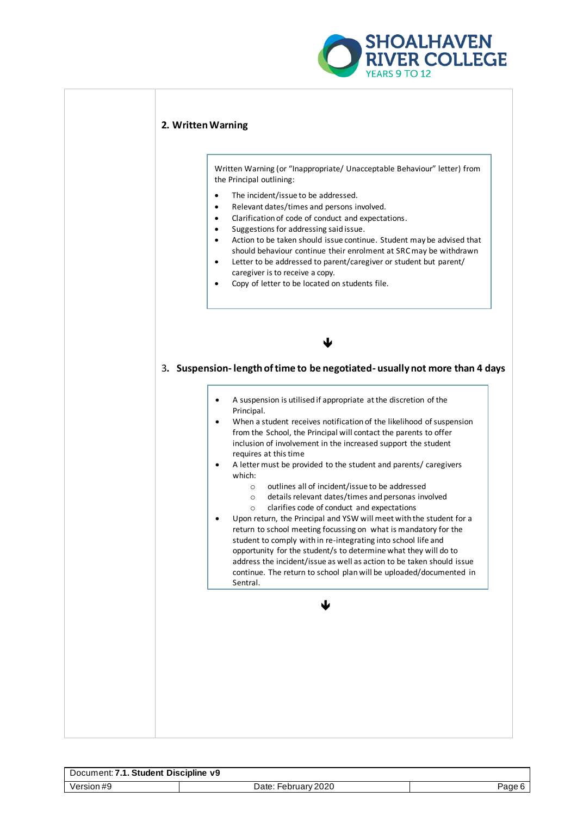

### **2. Written Warning**

Written Warning (or "Inappropriate/ Unacceptable Behaviour" letter) from the Principal outlining:

- The incident/issue to be addressed.
- Relevant dates/times and persons involved.
- Clarification of code of conduct and expectations.
- Suggestions for addressing said issue.<br>• Action to be taken should issue contin
- Action to be taken should issue continue. Student may be advised that should behaviour continue their enrolment at SRC may be withdrawn
- Letter to be addressed to parent/caregiver or student but parent/ caregiver is to receive a copy.
- Copy of letter to be located on students file.

*<u>A <b>*</u>

3**. Suspension- length of time to be negotiated- usually not more than 4 days**

• A suspension is utilised if appropriate at the discretion of the Principal.

• When a student receives notification of the likelihood of suspension from the School, the Principal will contact the parents to offer inclusion of involvement in the increased support the student requires at this time

- A letter must be provided to the student and parents/ caregivers which:
	- o outlines all of incident/issue to be addressed
	- o details relevant dates/times and personas involved
	- o clarifies code of conduct and expectations
- Upon return, the Principal and YSW will meet with the student for a return to school meeting focussing on what is mandatory for the student to comply with in re-integrating into school life and opportunity for the student/s to determine what they will do to address the incident/issue as well as action to be taken should issue continue. The return to school plan will be uploaded/documented in Sentral.

**1999 1999 1999 1999 1999** 

| . Student Discipline v9<br>Document: 7 |                          |        |
|----------------------------------------|--------------------------|--------|
| √ersion #9                             | February 2020<br>Date: F | ⊇age u |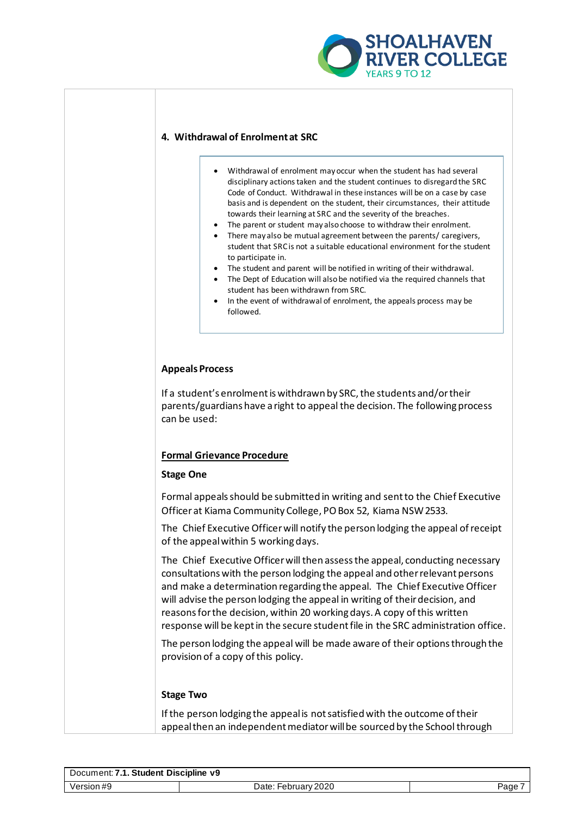

## **4. Withdrawal of Enrolment at SRC**

- Withdrawal of enrolment may occur when the student has had several disciplinary actions taken and the student continues to disregard the SRC Code of Conduct. Withdrawal in these instances will be on a case by case basis and is dependent on the student, their circumstances, their attitude towards their learning at SRC and the severity of the breaches.
- The parent or student may also choose to withdraw their enrolment.
- There may also be mutual agreement between the parents/ caregivers, student that SRC is not a suitable educational environment for the student to participate in.
- The student and parent will be notified in writing of their withdrawal.
- The Dept of Education will also be notified via the required channels that student has been withdrawn from SRC.
- In the event of withdrawal of enrolment, the appeals process may be followed.

# **Appeals Process**

If a student's enrolment is withdrawn by SRC, the students and/or their parents/guardians have a right to appeal the decision. The following process can be used:

### **Formal Grievance Procedure**

### **Stage One**

Formal appeals should be submitted in writing and sent to the Chief Executive Officer at Kiama Community College, PO Box 52, Kiama NSW 2533.

The Chief Executive Officer will notify the person lodging the appeal of receipt of the appeal within 5 working days.

The Chief Executive Officer will then assess the appeal, conducting necessary consultations with the person lodging the appeal and other relevant persons and make a determination regarding the appeal. The Chief Executive Officer will advise the person lodging the appeal in writing of their decision, and reasons for the decision, within 20 working days. A copy of this written response will be kept in the secure student file in the SRC administration office.

The person lodging the appeal will be made aware of their options through the provision of a copy of this policy.

### **Stage Two**

If the person lodging the appeal is not satisfied with the outcome of their appeal then an independent mediator will be sourced by the School through

| Document: 7.1. Student Discipline v9 |                          |       |
|--------------------------------------|--------------------------|-------|
| Version #9                           | February 2020<br>Date: F | Page. |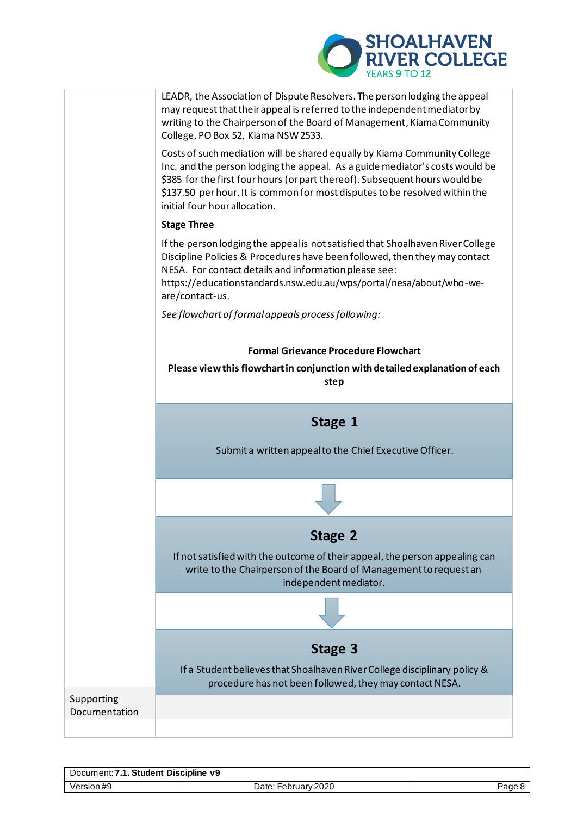



| Document: 7.1. Student Discipline v9 |                     |        |
|--------------------------------------|---------------------|--------|
| Version #9                           | Date: February 2020 | Page 8 |